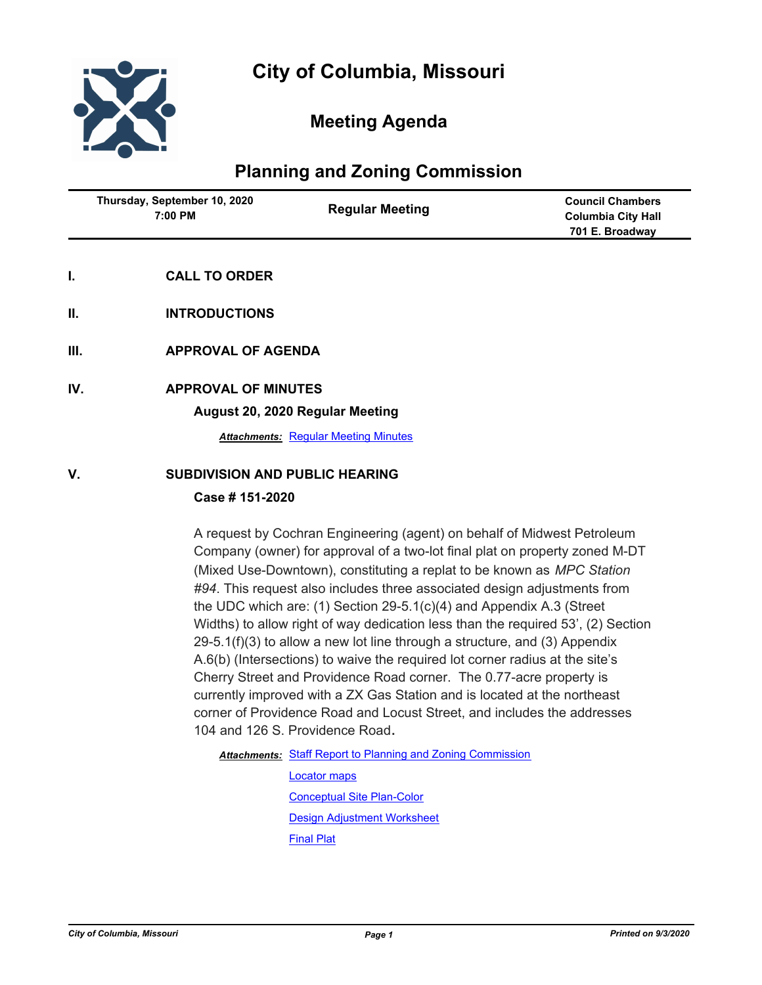

# **Meeting Agenda**

## **Planning and Zoning Commission**

| Thursday, September 10, 2020<br>7:00 PM | <b>Regular Meeting</b> | <b>Council Chambers</b><br><b>Columbia City Hall</b> |
|-----------------------------------------|------------------------|------------------------------------------------------|
|                                         |                        | 701 E. Broadway                                      |
|                                         |                        |                                                      |

- **I. CALL TO ORDER**
- **II. INTRODUCTIONS**
- **III. APPROVAL OF AGENDA**
- **IV. APPROVAL OF MINUTES**

**August 20, 2020 Regular Meeting**

*Attachments:* [Regular Meeting Minutes](http://gocolumbiamo.legistar.com/gateway.aspx?M=F&ID=aaf1736f-8e79-4944-8cab-66247db07b3f.docx)

### **V. SUBDIVISION AND PUBLIC HEARING**

### **Case # 151-2020**

A request by Cochran Engineering (agent) on behalf of Midwest Petroleum Company (owner) for approval of a two-lot final plat on property zoned M-DT (Mixed Use-Downtown), constituting a replat to be known as *MPC Station #94*. This request also includes three associated design adjustments from the UDC which are: (1) Section 29-5.1(c)(4) and Appendix A.3 (Street Widths) to allow right of way dedication less than the required 53', (2) Section  $29-5.1(f)(3)$  to allow a new lot line through a structure, and (3) Appendix A.6(b) (Intersections) to waive the required lot corner radius at the site's Cherry Street and Providence Road corner. The 0.77-acre property is currently improved with a ZX Gas Station and is located at the northeast corner of Providence Road and Locust Street, and includes the addresses 104 and 126 S. Providence Road**.**

Attachments: [Staff Report to Planning and Zoning Commission](http://gocolumbiamo.legistar.com/gateway.aspx?M=F&ID=caf34ccf-be66-4335-bc4a-785401f0ce0d.docx)

[Locator maps](http://gocolumbiamo.legistar.com/gateway.aspx?M=F&ID=55c02413-d753-4468-996c-67f6dfd2fea9.pdf) [Conceptual Site Plan-Color](http://gocolumbiamo.legistar.com/gateway.aspx?M=F&ID=fd45d77d-053a-4147-b4bd-81daf1a9f942.pdf) [Design Adjustment Worksheet](http://gocolumbiamo.legistar.com/gateway.aspx?M=F&ID=ee641c4c-edc8-45c5-9fce-e10a01b4b742.pdf) [Final Plat](http://gocolumbiamo.legistar.com/gateway.aspx?M=F&ID=d5d96489-0a1c-4040-9645-60ab0d7b51b7.pdf)